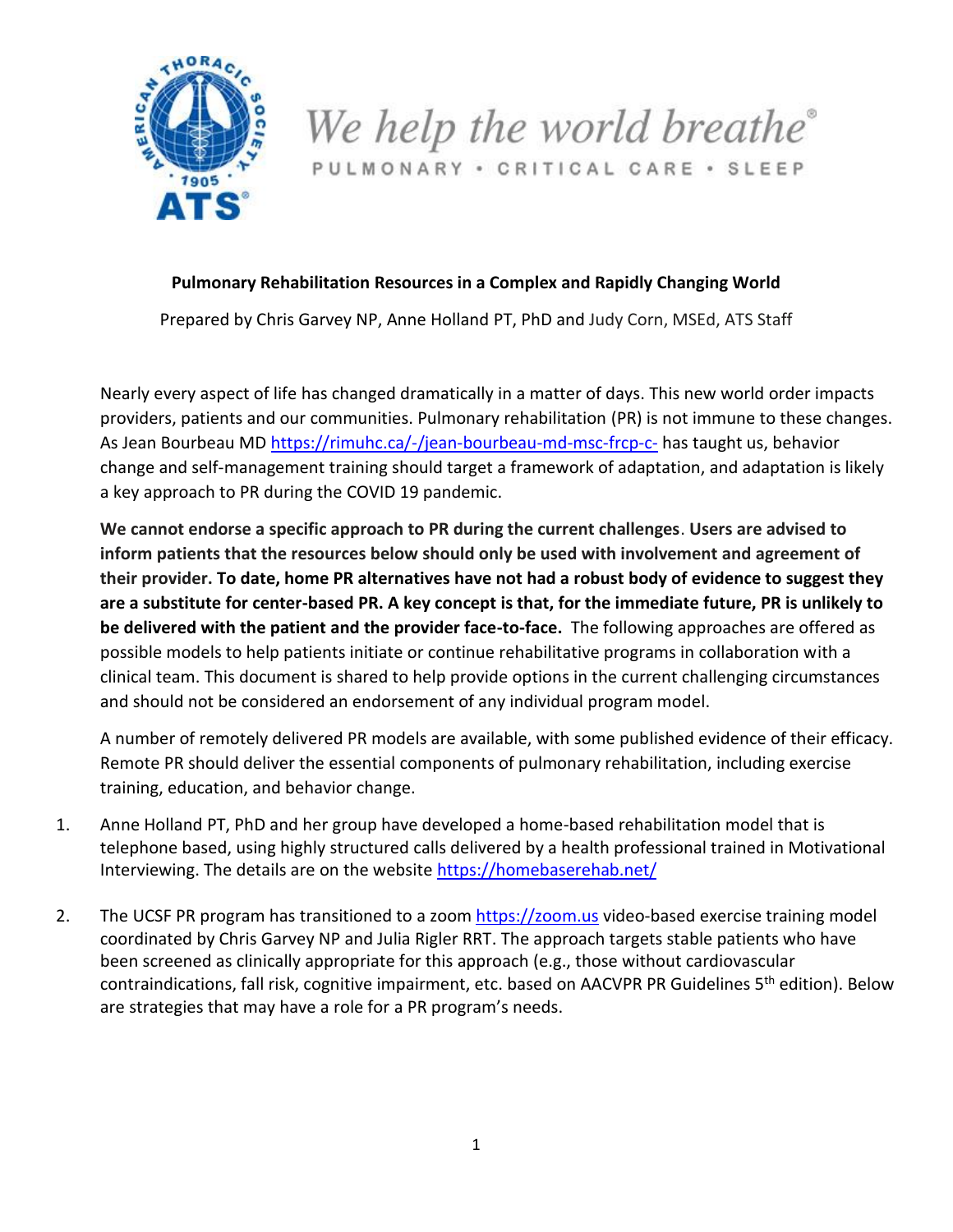

We help the world breathe<sup>®</sup> PULMONARY · CRITICAL CARE · SLEEP

## **Pulmonary Rehabilitation Resources in a Complex and Rapidly Changing World**

Prepared by Chris Garvey NP, Anne Holland PT, PhD and Judy Corn, MSEd, ATS Staff

Nearly every aspect of life has changed dramatically in a matter of days. This new world order impacts providers, patients and our communities. Pulmonary rehabilitation (PR) is not immune to these changes. As Jean Bourbeau MD<https://rimuhc.ca/-/jean-bourbeau-md-msc-frcp-c-> has taught us, behavior change and self-management training should target a framework of adaptation, and adaptation is likely a key approach to PR during the COVID 19 pandemic.

**We cannot endorse a specific approach to PR during the current challenges**. **Users are advised to inform patients that the resources below should only be used with involvement and agreement of their provider. To date, home PR alternatives have not had a robust body of evidence to suggest they are a substitute for center-based PR. A key concept is that, for the immediate future, PR is unlikely to be delivered with the patient and the provider face-to-face.** The following approaches are offered as possible models to help patients initiate or continue rehabilitative programs in collaboration with a clinical team. This document is shared to help provide options in the current challenging circumstances and should not be considered an endorsement of any individual program model.

A number of remotely delivered PR models are available, with some published evidence of their efficacy. Remote PR should deliver the essential components of pulmonary rehabilitation, including exercise training, education, and behavior change.

- 1. Anne Holland PT, PhD and her group have developed a home-based rehabilitation model that is telephone based, using highly structured calls delivered by a health professional trained in Motivational Interviewing. The details are on the website [https://homebaserehab.net/](https://urldefense.proofpoint.com/v2/url?u=https-3A__aus01.safelinks.protection.outlook.com_-3Furl-3Dhttps-253A-252F-252Furldefense.proofpoint.com-252Fv2-252Furl-253Fu-253Dhttps-2D3A-5F-5Fhomebaserehab.net-5F-2526d-253DDwMFAg-2526c-253DiORugZls2LlYyCAZRB3XLg-2526r-253DPT-2DfmShMnemSqA8S-2DauI6v0G5UKg4-2DGLKjoVWSXVD7w-2526m-253DoeevFs5qijXbdjGBH2LNgecZ2dlq9MucrsTXkDbiWmY-2526s-253DQtxWcIB3P2JEPTIznu7-2DvFYgKR1Zfdgxtvie1-5FK2z80-2526e-253D-26data-3D02-257C01-257C-257Cb90aaad521df489b8b5e08d7cac6cd17-257Ce21c8db98aa843019657077a0415bdf1-257C0-257C0-257C637200827554393564-26sdata-3D4TTMe89Aprek4IBEoQUXv4Yhl7SD4F49NR72HnRcoZw-253D-26reserved-3D0&d=DwMF-g&c=o3PTkfaYAd6-No7SurnLt5qpge1aKYwPQyBFS7c8AA0&r=F-CNCyPbFIFRWrw3o70cFw&m=hj85qpwPWZ9-zEEwgEJ-sr1000l8o81SGNbQISoyw24&s=dS2sO5Zn-iOnfQ5AeoWoyiVNwb4szU5esX_sCcZclJ4&e=)
- 2. The UCSF PR program has transitioned to a zoom [https://zoom.us](https://zoom.us/) video-based exercise training model coordinated by Chris Garvey NP and Julia Rigler RRT. The approach targets stable patients who have been screened as clinically appropriate for this approach (e.g., those without cardiovascular contraindications, fall risk, cognitive impairment, etc. based on AACVPR PR Guidelines 5<sup>th</sup> edition). Below are strategies that may have a role for a PR program's needs.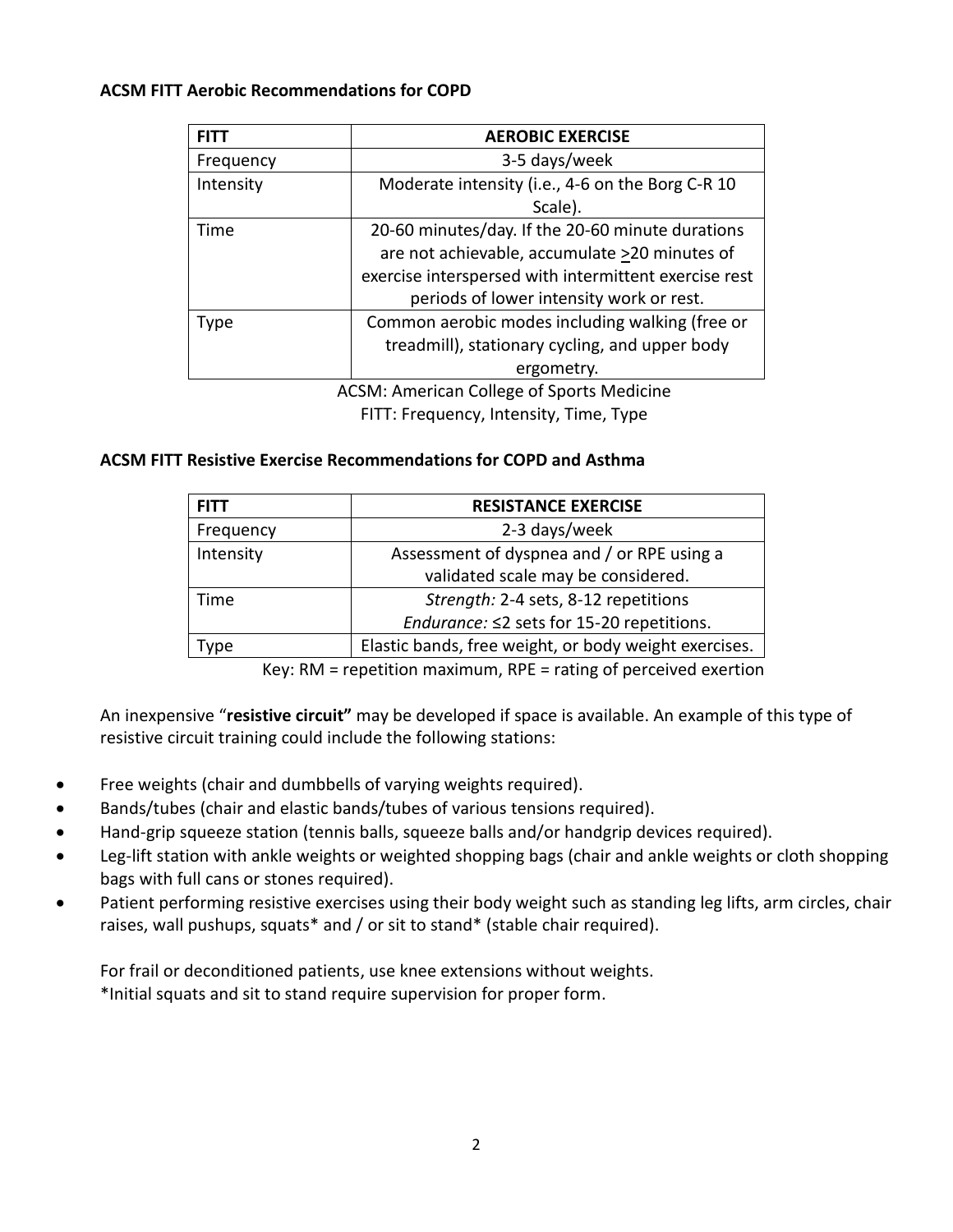## **ACSM FITT Aerobic Recommendations for COPD**

| <b>FITT</b> | <b>AEROBIC EXERCISE</b>                               |
|-------------|-------------------------------------------------------|
| Frequency   | 3-5 days/week                                         |
| Intensity   | Moderate intensity (i.e., 4-6 on the Borg C-R 10      |
|             | Scale).                                               |
| Time        | 20-60 minutes/day. If the 20-60 minute durations      |
|             | are not achievable, accumulate >20 minutes of         |
|             | exercise interspersed with intermittent exercise rest |
|             | periods of lower intensity work or rest.              |
| Type        | Common aerobic modes including walking (free or       |
|             | treadmill), stationary cycling, and upper body        |
|             | ergometry.                                            |
|             | ACCRAL American College of Cnarte Medicine            |

ACSM: American College of Sports Medicine FITT: Frequency, Intensity, Time, Type

## **ACSM FITT Resistive Exercise Recommendations for COPD and Asthma**

| <b>FITT</b> | <b>RESISTANCE EXERCISE</b>                            |
|-------------|-------------------------------------------------------|
| Frequency   | 2-3 days/week                                         |
| Intensity   | Assessment of dyspnea and / or RPE using a            |
|             | validated scale may be considered.                    |
| Time        | Strength: 2-4 sets, 8-12 repetitions                  |
|             | <i>Endurance:</i> ≤2 sets for 15-20 repetitions.      |
| ype         | Elastic bands, free weight, or body weight exercises. |

Key: RM = repetition maximum, RPE = rating of perceived exertion

An inexpensive "**resistive circuit"** may be developed if space is available. An example of this type of resistive circuit training could include the following stations:

- Free weights (chair and dumbbells of varying weights required).
- Bands/tubes (chair and elastic bands/tubes of various tensions required).
- Hand-grip squeeze station (tennis balls, squeeze balls and/or handgrip devices required).
- Leg-lift station with ankle weights or weighted shopping bags (chair and ankle weights or cloth shopping bags with full cans or stones required).
- Patient performing resistive exercises using their body weight such as standing leg lifts, arm circles, chair raises, wall pushups, squats\* and / or sit to stand\* (stable chair required).

For frail or deconditioned patients, use knee extensions without weights. \*Initial squats and sit to stand require supervision for proper form.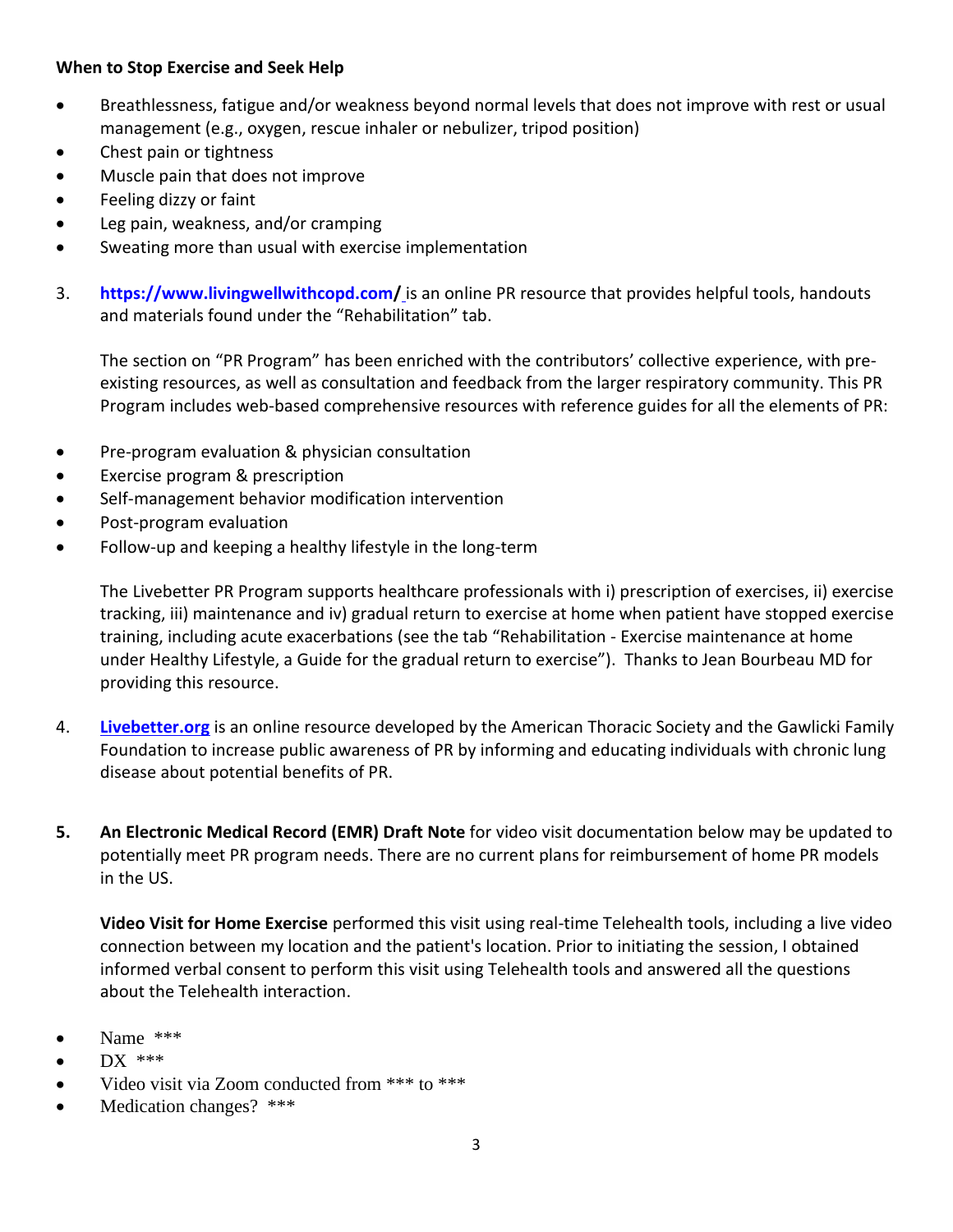## **When to Stop Exercise and Seek Help**

- Breathlessness, fatigue and/or weakness beyond normal levels that does not improve with rest or usual management (e.g., oxygen, rescue inhaler or nebulizer, tripod position)
- Chest pain or tightness
- Muscle pain that does not improve
- Feeling dizzy or faint
- Leg pain, weakness, and/or cramping
- Sweating more than usual with exercise implementation
- 3. **https://www.livingwellwithcopd.com/** is an online PR resource that provides helpful tools, handouts and materials found under the "Rehabilitation" tab.

The section on "PR Program" has been enriched with the contributors' collective experience, with preexisting resources, as well as consultation and feedback from the larger respiratory community. This PR Program includes web-based comprehensive resources with reference guides for all the elements of PR:

- Pre-program evaluation & physician consultation
- Exercise program & prescription
- Self-management behavior modification intervention
- Post-program evaluation
- Follow-up and keeping a healthy lifestyle in the long-term

The Livebetter PR Program supports healthcare professionals with i) prescription of exercises, ii) exercise tracking, iii) maintenance and iv) gradual return to exercise at home when patient have stopped exercise training, including acute exacerbations (see the tab "Rehabilitation - Exercise maintenance at home under Healthy Lifestyle, a Guide for the gradual return to exercise"). Thanks to Jean Bourbeau MD for providing this resource.

- 4. **[Livebetter.org](http://www.livebetter.org/)** is an online resource developed by the American Thoracic Society and the Gawlicki Family Foundation to increase public awareness of PR by informing and educating individuals with chronic lung disease about potential benefits of PR.
- **5. An Electronic Medical Record (EMR) Draft Note** for video visit documentation below may be updated to potentially meet PR program needs. There are no current plans for reimbursement of home PR models in the US.

**Video Visit for Home Exercise** performed this visit using real-time Telehealth tools, including a live video connection between my location and the patient's location. Prior to initiating the session, I obtained informed verbal consent to perform this visit using Telehealth tools and answered all the questions about the Telehealth interaction.

- Name \*\*\*
- $\bullet$  DX \*\*\*
- Video visit via Zoom conducted from \*\*\* to \*\*\*
- Medication changes? \*\*\*